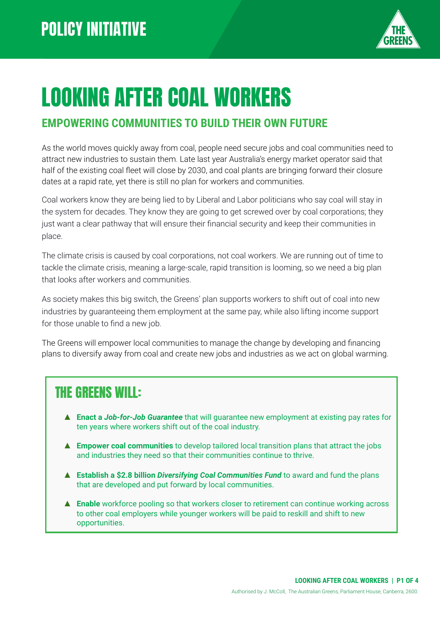

# LOOKING AFTER COAL WORKERS

#### **EMPOWERING COMMUNITIES TO BUILD THEIR OWN FUTURE**

As the world moves quickly away from coal, people need secure jobs and coal communities need to attract new industries to sustain them. Late last year Australia's energy market operator said that half of the existing coal fleet will close by 2030, and coal plants are bringing forward their closure dates at a rapid rate, yet there is still no plan for workers and communities.

Coal workers know they are being lied to by Liberal and Labor politicians who say coal will stay in the system for decades. They know they are going to get screwed over by coal corporations; they just want a clear pathway that will ensure their financial security and keep their communities in place.

The climate crisis is caused by coal corporations, not coal workers. We are running out of time to tackle the climate crisis, meaning a large-scale, rapid transition is looming, so we need a big plan that looks after workers and communities.

As society makes this big switch, the Greens' plan supports workers to shift out of coal into new industries by guaranteeing them employment at the same pay, while also lifting income support for those unable to find a new job.

The Greens will empower local communities to manage the change by developing and financing plans to diversify away from coal and create new jobs and industries as we act on global warming.

### THE GREENS WILL:

- ▲ **Enact a** *Job-for-Job Guarantee* that will guarantee new employment at existing pay rates for ten years where workers shift out of the coal industry.
- ▲ **Empower coal communities** to develop tailored local transition plans that attract the jobs and industries they need so that their communities continue to thrive.
- ▲ **Establish a \$2.8 billion** *Diversifying Coal Communities Fund* to award and fund the plans that are developed and put forward by local communities.
- ▲ **Enable** workforce pooling so that workers closer to retirement can continue working across to other coal employers while younger workers will be paid to reskill and shift to new opportunities.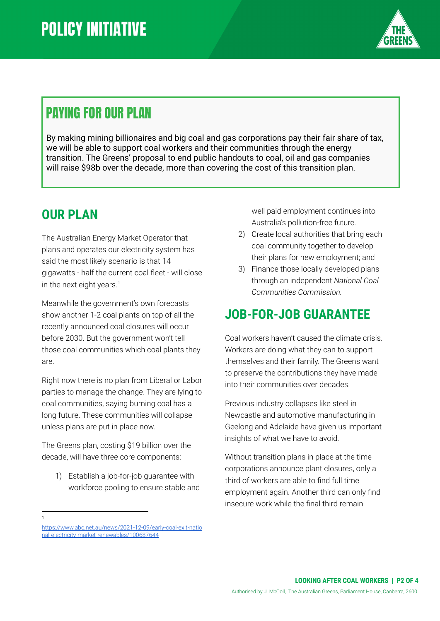

### PAYING FOR OUR PLAN

By making mining billionaires and big coal and gas corporations pay their fair share of tax, we will be able to support coal workers and their communities through the energy transition. The Greens' proposal to end public handouts to coal, oil and gas companies will raise \$98b over the decade, more than covering the cost of this transition plan.

### **OUR PLAN**

The Australian Energy Market Operator that plans and operates our electricity system has said the most likely scenario is that 14 gigawatts - half the current coal fleet - will close in the next eight years. $<sup>1</sup>$ </sup>

Meanwhile the government's own forecasts show another 1-2 coal plants on top of all the recently announced coal closures will occur before 2030. But the government won't tell those coal communities which coal plants they are.

Right now there is no plan from Liberal or Labor parties to manage the change. They are lying to coal communities, saying burning coal has a long future. These communities will collapse unless plans are put in place now.

The Greens plan, costing \$19 billion over the decade, will have three core components:

- 1) Establish a job-for-job guarantee with workforce pooling to ensure stable and
- 1

well paid employment continues into Australia's pollution-free future.

- 2) Create local authorities that bring each coal community together to develop their plans for new employment; and
- 3) Finance those locally developed plans through an independent *National Coal Communities Commission.*

### **JOB-FOR-JOB GUARANTEE**

Coal workers haven't caused the climate crisis. Workers are doing what they can to support themselves and their family. The Greens want to preserve the contributions they have made into their communities over decades.

Previous industry collapses like steel in Newcastle and automotive manufacturing in Geelong and Adelaide have given us important insights of what we have to avoid.

Without transition plans in place at the time corporations announce plant closures, only a third of workers are able to find full time employment again. Another third can only find insecure work while the final third remain

[https://www.abc.net.au/news/2021-12-09/early-coal-exit-natio](https://www.abc.net.au/news/2021-12-09/early-coal-exit-national-electricity-market-renewables/100687644) [nal-electricity-market-renewables/100687644](https://www.abc.net.au/news/2021-12-09/early-coal-exit-national-electricity-market-renewables/100687644)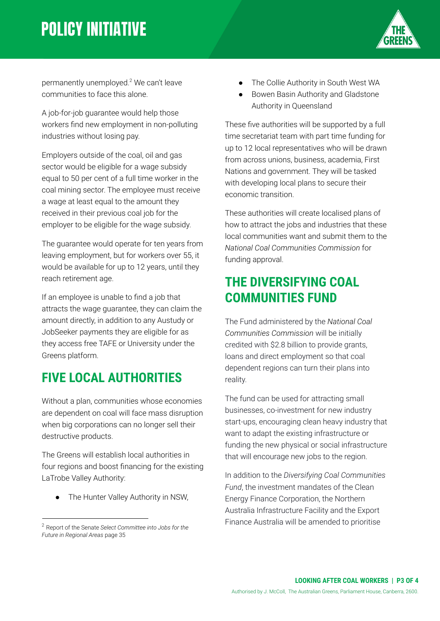# **POLICY INITIATIVE**



permanently unemployed.<sup>2</sup> We can't leave communities to face this alone.

A job-for-job guarantee would help those workers find new employment in non-polluting industries without losing pay.

Employers outside of the coal, oil and gas sector would be eligible for a wage subsidy equal to 50 per cent of a full time worker in the coal mining sector. The employee must receive a wage at least equal to the amount they received in their previous coal job for the employer to be eligible for the wage subsidy.

The guarantee would operate for ten years from leaving employment, but for workers over 55, it would be available for up to 12 years, until they reach retirement age.

If an employee is unable to find a job that attracts the wage guarantee, they can claim the amount directly, in addition to any Austudy or JobSeeker payments they are eligible for as they access free TAFE or University under the Greens platform.

### **FIVE LOCAL AUTHORITIES**

Without a plan, communities whose economies are dependent on coal will face mass disruption when big corporations can no longer sell their destructive products.

The Greens will establish local authorities in four regions and boost financing for the existing LaTrobe Valley Authority:

The Hunter Valley Authority in NSW,

- The Collie Authority in South West WA
- Bowen Basin Authority and Gladstone Authority in Queensland

These five authorities will be supported by a full time secretariat team with part time funding for up to 12 local representatives who will be drawn from across unions, business, academia, First Nations and government. They will be tasked with developing local plans to secure their economic transition.

These authorities will create localised plans of how to attract the jobs and industries that these local communities want and submit them to the *National Coal Communities Commission* for funding approval.

### **THE DIVERSIFYING COAL COMMUNITIES FUND**

The Fund administered by the *National Coal Communities Commission* will be initially credited with \$2.8 billion to provide grants, loans and direct employment so that coal dependent regions can turn their plans into reality.

The fund can be used for attracting small businesses, co-investment for new industry start-ups, encouraging clean heavy industry that want to adapt the existing infrastructure or funding the new physical or social infrastructure that will encourage new jobs to the region.

In addition to the *Diversifying Coal Communities Fund*, the investment mandates of the Clean Energy Finance Corporation, the Northern Australia Infrastructure Facility and the Export Finance Australia will be amended to prioritise

<sup>2</sup> Report of the Senate *Select Committee into Jobs for the Future in Regional Areas* page 35